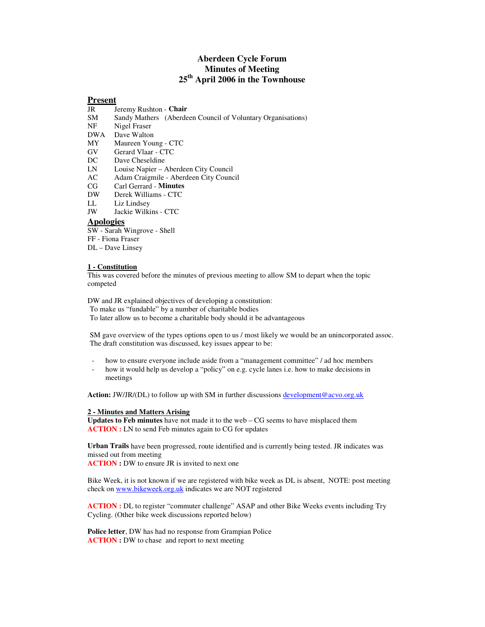## **Aberdeen Cycle Forum Minutes of Meeting 25th April 2006 in the Townhouse**

# **Present**

- JR Jeremy Rushton **Chair**
- Sandy Mathers (Aberdeen Council of Voluntary Organisations)
- NF Nigel Fraser<br>DWA Dave Walton
- Dave Walton
- MY Maureen Young CTC
- GV Gerard Vlaar CTC<br>DC Dave Cheseldine
- Dave Cheseldine
- LN Louise Napier Aberdeen City Council
- AC Adam Craigmile Aberdeen City Council
- CG Carl Gerrard **Minutes**
- DW Derek Williams CTC
- Liz Lindsey
- JW Jackie Wilkins CTC

### **Apologies**

- SW Sarah Wingrove Shell
- FF Fiona Fraser
- DL Dave Linsey

#### **1 - Constitution**

This was covered before the minutes of previous meeting to allow SM to depart when the topic competed

DW and JR explained objectives of developing a constitution: To make us "fundable" by a number of charitable bodies To later allow us to become a charitable body should it be advantageous

SM gave overview of the types options open to us / most likely we would be an unincorporated assoc. The draft constitution was discussed, key issues appear to be:

- how to ensure everyone include aside from a "management committee" / ad hoc members
- how it would help us develop a "policy" on e.g. cycle lanes i.e. how to make decisions in meetings

**Action:** JW/JR/(DL) to follow up with SM in further discussions development@acvo.org.uk

#### **2 - Minutes and Matters Arising**

**Updates to Feb minutes** have not made it to the web – CG seems to have misplaced them **ACTION :** LN to send Feb minutes again to CG for updates

**Urban Trails** have been progressed, route identified and is currently being tested. JR indicates was missed out from meeting **ACTION :** DW to ensure JR is invited to next one

Bike Week, it is not known if we are registered with bike week as DL is absent, NOTE: post meeting check on www.bikeweek.org.uk indicates we are NOT registered

**ACTION :** DL to register "commuter challenge" ASAP and other Bike Weeks events including Try Cycling. (Other bike week discussions reported below)

**Police letter**, DW has had no response from Grampian Police **ACTION :** DW to chase and report to next meeting